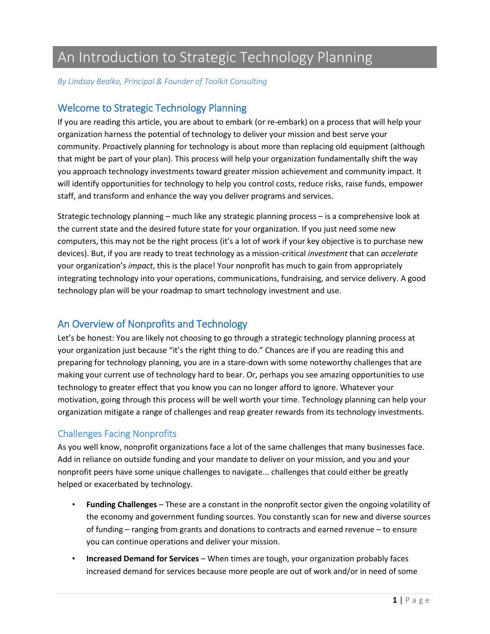# An Introduction to Strategic Technology Planning

*By Lindsay Bealko, Principal & Founder of Toolkit Consulting*

## Welcome to Strategic Technology Planning

If you are reading this article, you are about to embark (or re-embark) on a process that will help your organization harness the potential of technology to deliver your mission and best serve your community. Proactively planning for technology is about more than replacing old equipment (although that might be part of your plan). This process will help your organization fundamentally shift the way you approach technology investments toward greater mission achievement and community impact. It will identify opportunities for technology to help you control costs, reduce risks, raise funds, empower staff, and transform and enhance the way you deliver programs and services.

Strategic technology planning – much like any strategic planning process – is a comprehensive look at the current state and the desired future state for your organization. If you just need some new computers, this may not be the right process (it's a lot of work if your key objective is to purchase new devices). But, if you are ready to treat technology as a mission-critical *investment* that can *accelerate* your organization's *impact*, this is the place! Your nonprofit has much to gain from appropriately integrating technology into your operations, communications, fundraising, and service delivery. A good technology plan will be your roadmap to smart technology investment and use.

# An Overview of Nonprofits and Technology

Let's be honest: You are likely not choosing to go through a strategic technology planning process at your organization just because "it's the right thing to do." Chances are if you are reading this and preparing for technology planning, you are in a stare-down with some noteworthy challenges that are making your current use of technology hard to bear. Or, perhaps you see amazing opportunities to use technology to greater effect that you know you can no longer afford to ignore. Whatever your motivation, going through this process will be well worth your time. Technology planning can help your organization mitigate a range of challenges and reap greater rewards from its technology investments.

## Challenges Facing Nonprofits

As you well know, nonprofit organizations face a lot of the same challenges that many businesses face. Add in reliance on outside funding and your mandate to deliver on your mission, and you and your nonprofit peers have some unique challenges to navigate... challenges that could either be greatly helped or exacerbated by technology.

- **Funding Challenges** These are a constant in the nonprofit sector given the ongoing volatility of the economy and government funding sources. You constantly scan for new and diverse sources of funding – ranging from grants and donations to contracts and earned revenue – to ensure you can continue operations and deliver your mission.
- **Increased Demand for Services** When times are tough, your organization probably faces increased demand for services because more people are out of work and/or in need of some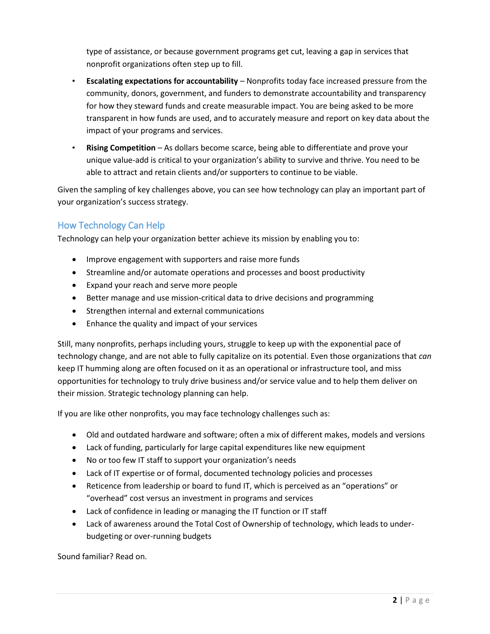type of assistance, or because government programs get cut, leaving a gap in services that nonprofit organizations often step up to fill.

- **Escalating expectations for accountability** Nonprofits today face increased pressure from the community, donors, government, and funders to demonstrate accountability and transparency for how they steward funds and create measurable impact. You are being asked to be more transparent in how funds are used, and to accurately measure and report on key data about the impact of your programs and services.
- **Rising Competition** As dollars become scarce, being able to differentiate and prove your unique value-add is critical to your organization's ability to survive and thrive. You need to be able to attract and retain clients and/or supporters to continue to be viable.

Given the sampling of key challenges above, you can see how technology can play an important part of your organization's success strategy.

### How Technology Can Help

Technology can help your organization better achieve its mission by enabling you to:

- Improve engagement with supporters and raise more funds
- Streamline and/or automate operations and processes and boost productivity
- Expand your reach and serve more people
- Better manage and use mission-critical data to drive decisions and programming
- Strengthen internal and external communications
- Enhance the quality and impact of your services

Still, many nonprofits, perhaps including yours, struggle to keep up with the exponential pace of technology change, and are not able to fully capitalize on its potential. Even those organizations that *can* keep IT humming along are often focused on it as an operational or infrastructure tool, and miss opportunities for technology to truly drive business and/or service value and to help them deliver on their mission. Strategic technology planning can help.

If you are like other nonprofits, you may face technology challenges such as:

- Old and outdated hardware and software; often a mix of different makes, models and versions
- Lack of funding, particularly for large capital expenditures like new equipment
- No or too few IT staff to support your organization's needs
- Lack of IT expertise or of formal, documented technology policies and processes
- Reticence from leadership or board to fund IT, which is perceived as an "operations" or "overhead" cost versus an investment in programs and services
- Lack of confidence in leading or managing the IT function or IT staff
- Lack of awareness around the Total Cost of Ownership of technology, which leads to underbudgeting or over-running budgets

Sound familiar? Read on.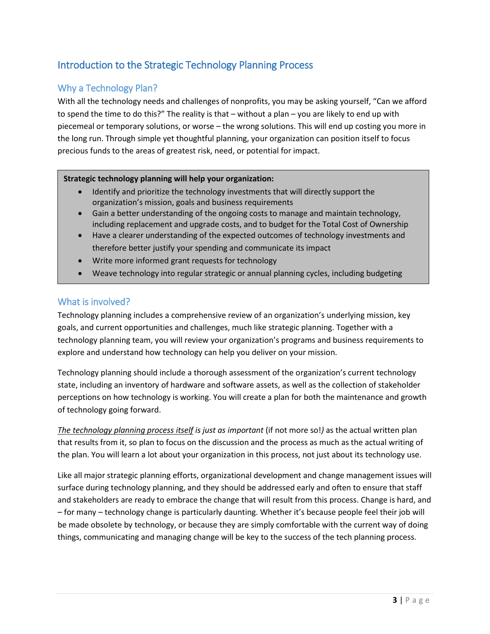# Introduction to the Strategic Technology Planning Process

# Why a Technology Plan?

With all the technology needs and challenges of nonprofits, you may be asking yourself, "Can we afford to spend the time to do this?" The reality is that – without a plan – you are likely to end up with piecemeal or temporary solutions, or worse – the wrong solutions. This will end up costing you more in the long run. Through simple yet thoughtful planning, your organization can position itself to focus precious funds to the areas of greatest risk, need, or potential for impact.

#### **Strategic technology planning will help your organization:**

- Identify and prioritize the technology investments that will directly support the organization's mission, goals and business requirements
- Gain a better understanding of the ongoing costs to manage and maintain technology, including replacement and upgrade costs, and to budget for the Total Cost of Ownership
- Have a clearer understanding of the expected outcomes of technology investments and therefore better justify your spending and communicate its impact
- Write more informed grant requests for technology
- Weave technology into regular strategic or annual planning cycles, including budgeting

#### What is involved?

Technology planning includes a comprehensive review of an organization's underlying mission, key goals, and current opportunities and challenges, much like strategic planning. Together with a technology planning team, you will review your organization's programs and business requirements to explore and understand how technology can help you deliver on your mission.

Technology planning should include a thorough assessment of the organization's current technology state, including an inventory of hardware and software assets, as well as the collection of stakeholder perceptions on how technology is working. You will create a plan for both the maintenance and growth of technology going forward.

*The technology planning process itself is just as important* (if not more so!*)* as the actual written plan that results from it, so plan to focus on the discussion and the process as much as the actual writing of the plan. You will learn a lot about your organization in this process, not just about its technology use.

Like all major strategic planning efforts, organizational development and change management issues will surface during technology planning, and they should be addressed early and often to ensure that staff and stakeholders are ready to embrace the change that will result from this process. Change is hard, and – for many – technology change is particularly daunting. Whether it's because people feel their job will be made obsolete by technology, or because they are simply comfortable with the current way of doing things, communicating and managing change will be key to the success of the tech planning process.